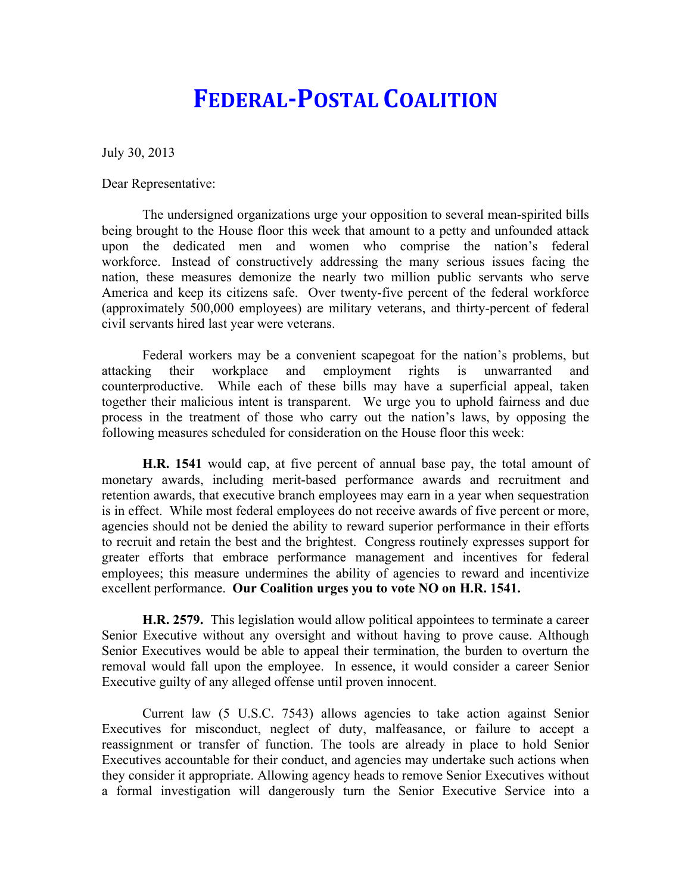## **FEDERAL-POSTAL COALITION**

July 30, 2013

Dear Representative:

The undersigned organizations urge your opposition to several mean-spirited bills being brought to the House floor this week that amount to a petty and unfounded attack upon the dedicated men and women who comprise the nation's federal workforce. Instead of constructively addressing the many serious issues facing the nation, these measures demonize the nearly two million public servants who serve America and keep its citizens safe. Over twenty-five percent of the federal workforce (approximately 500,000 employees) are military veterans, and thirty-percent of federal civil servants hired last year were veterans.

Federal workers may be a convenient scapegoat for the nation's problems, but attacking their workplace and employment rights is unwarranted and counterproductive. While each of these bills may have a superficial appeal, taken together their malicious intent is transparent. We urge you to uphold fairness and due process in the treatment of those who carry out the nation's laws, by opposing the following measures scheduled for consideration on the House floor this week:

**H.R. 1541** would cap, at five percent of annual base pay, the total amount of monetary awards, including merit-based performance awards and recruitment and retention awards, that executive branch employees may earn in a year when sequestration is in effect. While most federal employees do not receive awards of five percent or more, agencies should not be denied the ability to reward superior performance in their efforts to recruit and retain the best and the brightest. Congress routinely expresses support for greater efforts that embrace performance management and incentives for federal employees; this measure undermines the ability of agencies to reward and incentivize excellent performance. **Our Coalition urges you to vote NO on H.R. 1541.**

**H.R. 2579.** This legislation would allow political appointees to terminate a career Senior Executive without any oversight and without having to prove cause. Although Senior Executives would be able to appeal their termination, the burden to overturn the removal would fall upon the employee. In essence, it would consider a career Senior Executive guilty of any alleged offense until proven innocent.

Current law (5 U.S.C. 7543) allows agencies to take action against Senior Executives for misconduct, neglect of duty, malfeasance, or failure to accept a reassignment or transfer of function. The tools are already in place to hold Senior Executives accountable for their conduct, and agencies may undertake such actions when they consider it appropriate. Allowing agency heads to remove Senior Executives without a formal investigation will dangerously turn the Senior Executive Service into a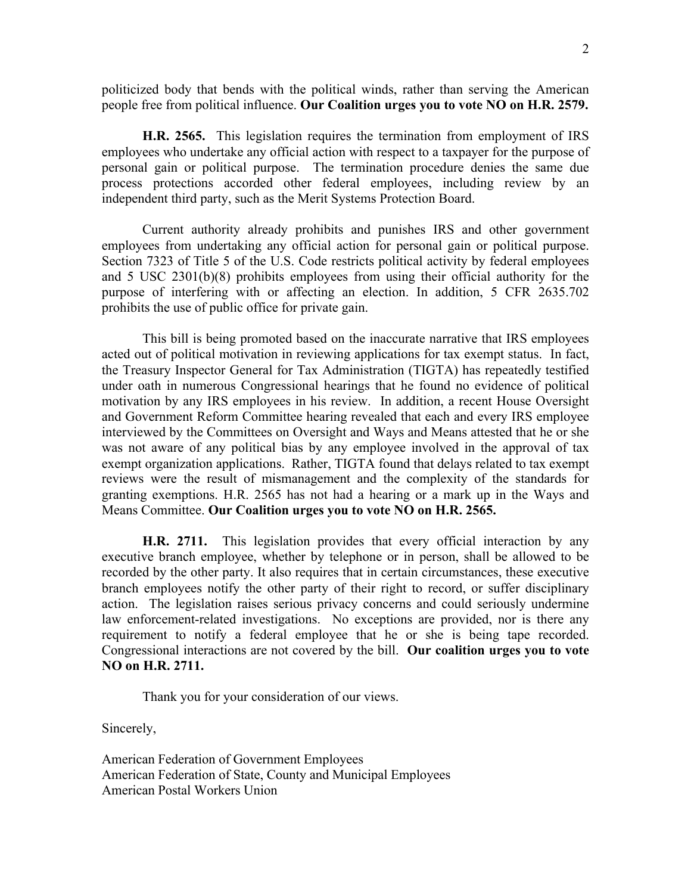politicized body that bends with the political winds, rather than serving the American people free from political influence. **Our Coalition urges you to vote NO on H.R. 2579.**

**H.R. 2565.** This legislation requires the termination from employment of IRS employees who undertake any official action with respect to a taxpayer for the purpose of personal gain or political purpose. The termination procedure denies the same due process protections accorded other federal employees, including review by an independent third party, such as the Merit Systems Protection Board.

Current authority already prohibits and punishes IRS and other government employees from undertaking any official action for personal gain or political purpose. Section 7323 of Title 5 of the U.S. Code restricts political activity by federal employees and 5 USC 2301(b)(8) prohibits employees from using their official authority for the purpose of interfering with or affecting an election. In addition, 5 CFR 2635.702 prohibits the use of public office for private gain.

This bill is being promoted based on the inaccurate narrative that IRS employees acted out of political motivation in reviewing applications for tax exempt status. In fact, the Treasury Inspector General for Tax Administration (TIGTA) has repeatedly testified under oath in numerous Congressional hearings that he found no evidence of political motivation by any IRS employees in his review. In addition, a recent House Oversight and Government Reform Committee hearing revealed that each and every IRS employee interviewed by the Committees on Oversight and Ways and Means attested that he or she was not aware of any political bias by any employee involved in the approval of tax exempt organization applications. Rather, TIGTA found that delays related to tax exempt reviews were the result of mismanagement and the complexity of the standards for granting exemptions. H.R. 2565 has not had a hearing or a mark up in the Ways and Means Committee. **Our Coalition urges you to vote NO on H.R. 2565.**

**H.R. 2711.** This legislation provides that every official interaction by any executive branch employee, whether by telephone or in person, shall be allowed to be recorded by the other party. It also requires that in certain circumstances, these executive branch employees notify the other party of their right to record, or suffer disciplinary action. The legislation raises serious privacy concerns and could seriously undermine law enforcement-related investigations. No exceptions are provided, nor is there any requirement to notify a federal employee that he or she is being tape recorded. Congressional interactions are not covered by the bill. **Our coalition urges you to vote NO on H.R. 2711.** 

Thank you for your consideration of our views.

Sincerely,

American Federation of Government Employees American Federation of State, County and Municipal Employees American Postal Workers Union